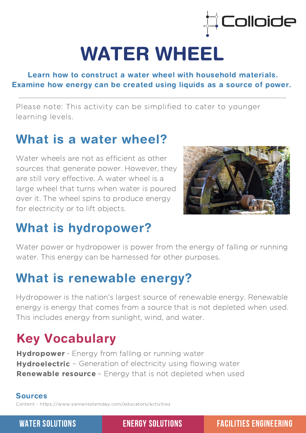

# WATER WHEEL

Learn how to construct a water wheel with household materials. Examine how energy can be created using liquids as a source of power.

Please note: This activity can be simplified to cater to younger learning levels.

### What is a water wheel?

Water wheels are not as efficient as other sources that generate power. However, they are still very effective. A water wheel is a large wheel that turns when water is poured over it. The wheel spins to produce energy for electricity or to lift objects.



### What is hydropower?

Water power or hydropower is power from the energy of falling or running water. This energy can be harnessed for other purposes.

## What is renewable energy?

Hydropower is the nation's largest source of renewable energy. Renewable energy is energy that comes from a source that is not depleted when used. This includes energy from sunlight, wind, and water.

# Key Vocabulary

Hydropower - Energy from falling or running water Hydroelectric - Generation of electricity using flowing water Renewable resource - Energy that is not depleted when used

#### Sources

Content - <https://www.siemensstemday.com/educators/activities>